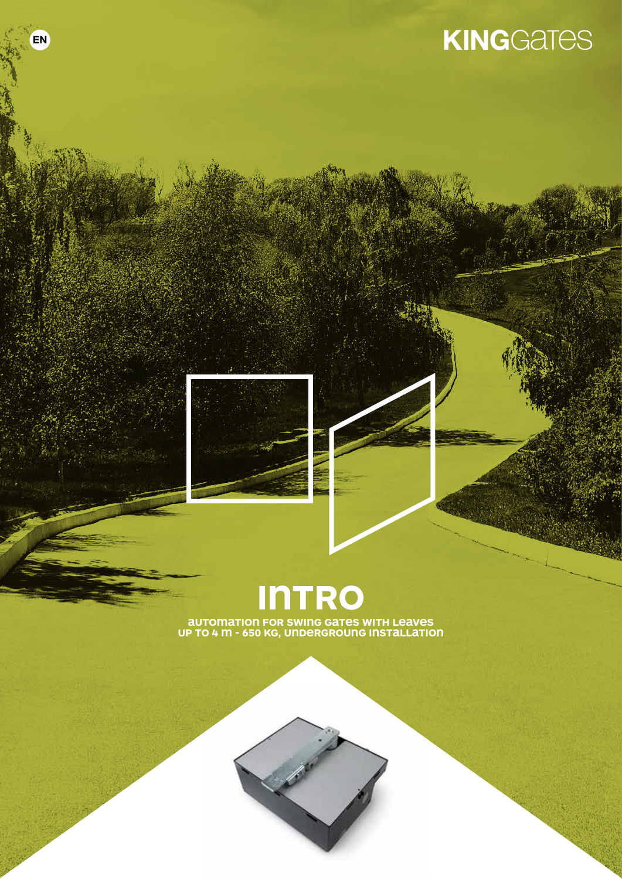# **KINGGATES**



EN

# **intro**

**Automation for swing gates with leaves up to 4 m - 650 Kg, undergroung installation**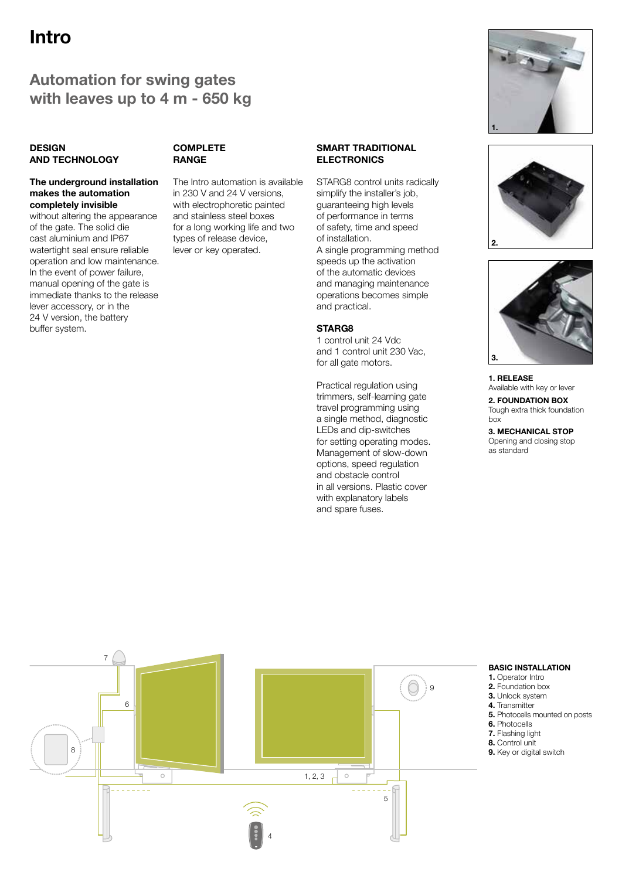## Intro

### Automation for swing gates with leaves up to 4 m - 650 kg

#### **DESIGN** AND TECHNOLOGY

**COMPLETE RANGE** 

#### The underground installation makes the automation completely invisible

without altering the appearance of the gate. The solid die cast aluminium and IP67 watertight seal ensure reliable operation and low maintenance. In the event of power failure, manual opening of the gate is immediate thanks to the release lever accessory, or in the 24 V version, the battery buffer system.

The Intro automation is available in 230 V and 24 V versions, with electrophoretic painted and stainless steel boxes for a long working life and two types of release device, lever or key operated.

#### SMART TRADITIONAL **ELECTRONICS**

STARG8 control units radically simplify the installer's job. guaranteeing high levels of performance in terms of safety, time and speed of installation. A single programming method speeds up the activation of the automatic devices and managing maintenance operations becomes simple and practical.

#### STARG8

1 control unit 24 Vdc and 1 control unit 230 Vac, for all gate motors.

Practical regulation using trimmers, self-learning gate travel programming using a single method, diagnostic LEDs and dip-switches for setting operating modes. Management of slow-down options, speed regulation and obstacle control in all versions. Plastic cover with explanatory labels and spare fuses.







1. RELEASE Available with key or lever

2. FOUNDATION BOX Tough extra thick foundation box

3. MECHANICAL STOP Opening and closing stop as standard

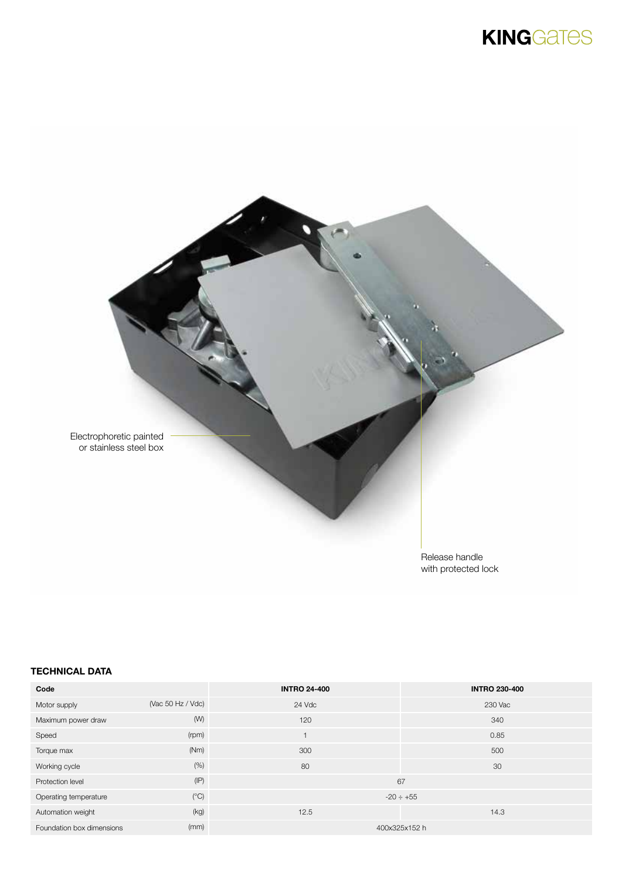



Release handle with protected lock

#### TECHNICAL DATA

| Code                      |                   | <b>INTRO 24-400</b> | <b>INTRO 230-400</b> |  |
|---------------------------|-------------------|---------------------|----------------------|--|
| Motor supply              | (Vac 50 Hz / Vdc) | 24 Vdc              | 230 Vac              |  |
| Maximum power draw        | (W)               | 120                 | 340                  |  |
| Speed                     | (rpm)             |                     | 0.85                 |  |
| Torque max                | (Nm)              | 300                 | 500                  |  |
| Working cycle             | (% )              | 80                  | 30                   |  |
| Protection level          | (IP)              | 67                  |                      |  |
| Operating temperature     | $(^{\circ}C)$     | $-20 \div +55$      |                      |  |
| Automation weight         | (kg)              | 12.5                | 14.3                 |  |
| Foundation box dimensions | (mm)              | 400x325x152 h       |                      |  |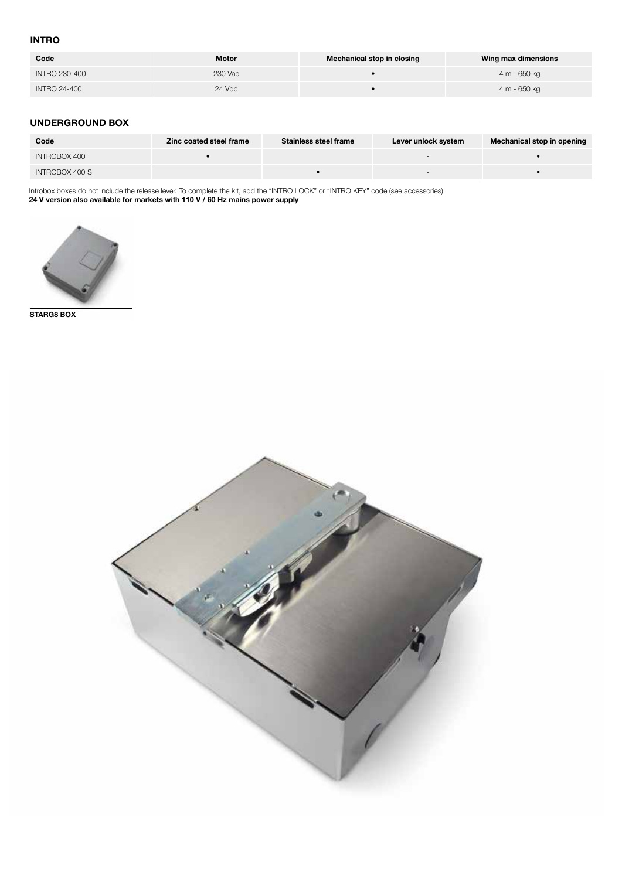#### INTRO

| Code                 | <b>Motor</b> | Mechanical stop in closing | Wing max dimensions |
|----------------------|--------------|----------------------------|---------------------|
| <b>INTRO 230-400</b> | 230 Vac      |                            | 4 m - 650 kg        |
| INTRO 24-400         | 24 Vdc       |                            | 4 m - 650 kg        |

#### UNDERGROUND BOX

| Code           | Zinc coated steel frame | Stainless steel frame | Lever unlock system | Mechanical stop in opening |
|----------------|-------------------------|-----------------------|---------------------|----------------------------|
| INTROBOX 400   |                         |                       |                     |                            |
| INTROBOX 400 S |                         |                       |                     |                            |

Introbox boxes do not include the release lever. To complete the kit, add the "INTRO LOCK" or "INTRO KEY" code (see accessories) 24 V version also available for markets with 110 V / 60 Hz mains power supply



STARG8 BOX

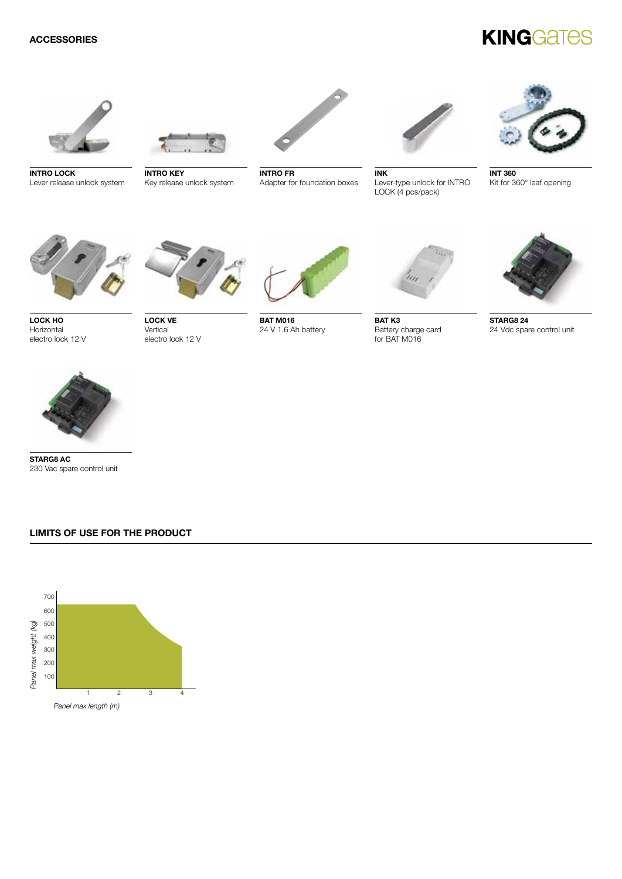## **KINGGATES**



INTRO LOCK Lever release unlock system



INTRO KEY Key release unlock system



INTRO FR Adapter for foundation boxes



INK Lever-type unlock for INTRO LOCK (4 pcs/pack)



INT 360 Kit for 360° leaf opening



LOCK HO Horizontal

electro lock 12 V



LOCK VE Vertical electro lock 12 V



BAT M016 24 V 1.6 Ah battery



BAT<sub>K3</sub> Battery charge card for BAT M016



**STARG8 24** 24 Vdc spare control unit



STARG8 AC 230 Vac spare control unit

#### LIMITS OF USE FOR THE PRODUCT